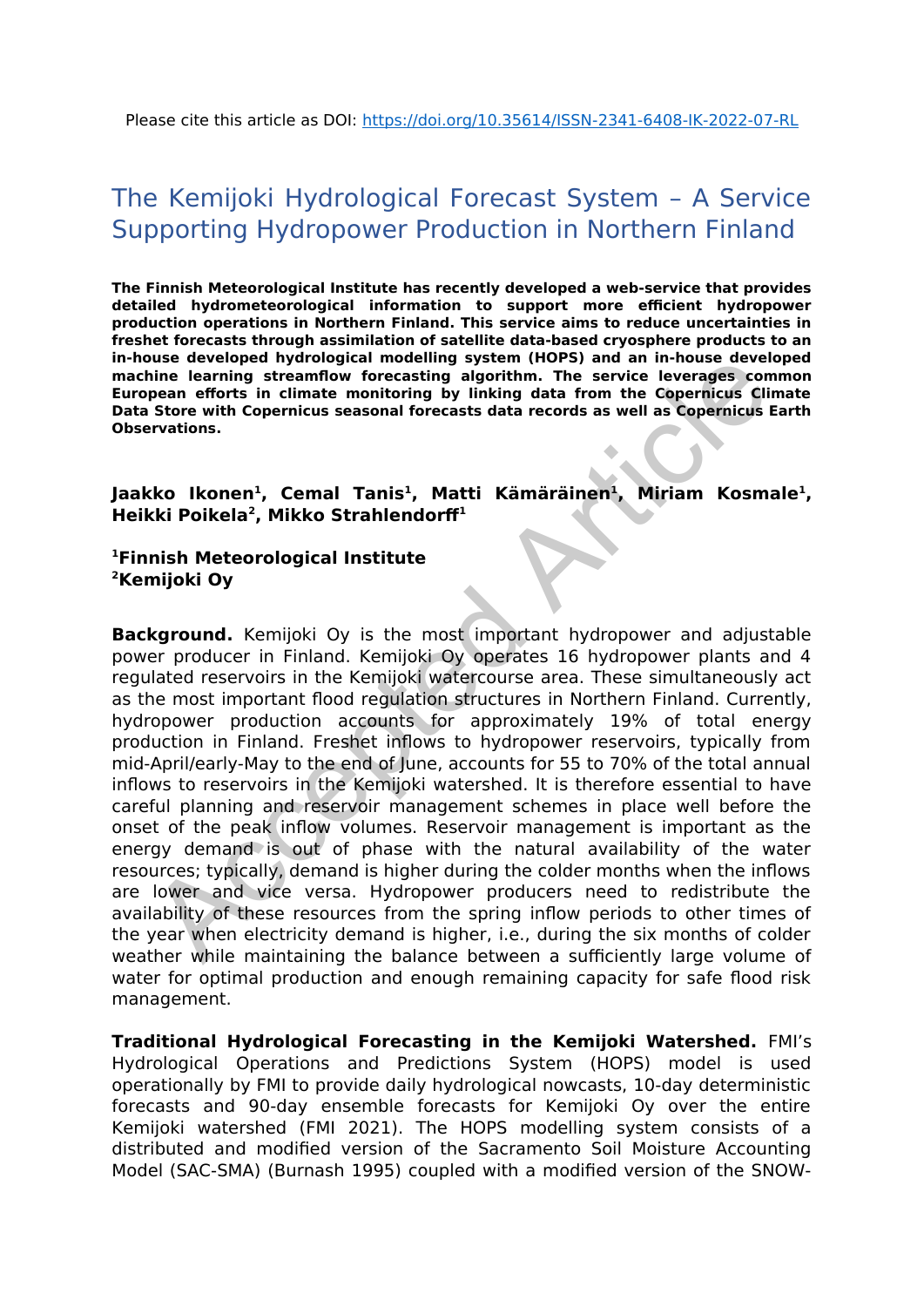# The Kemijoki Hydrological Forecast System – A Service Supporting Hydropower Production in Northern Finland

**The Finnish Meteorological Institute has recently developed a web-service that provides detailed hydrometeorological information to support more efficient hydropower production operations in Northern Finland. This service aims to reduce uncertainties in freshet forecasts through assimilation of satellite data-based cryosphere products to an in-house developed hydrological modelling system (HOPS) and an in-house developed machine learning streamflow forecasting algorithm. The service leverages common European efforts in climate monitoring by linking data from the Copernicus Climate Data Store with Copernicus seasonal forecasts data records as well as Copernicus Earth Observations.** 

### **Jaakko Ikonen<sup>1</sup> , Cemal Tanis<sup>1</sup> , Matti Kämäräinen<sup>1</sup> , Miriam Kosmale<sup>1</sup> , Heikki Poikela<sup>2</sup> , Mikko Strahlendorff<sup>1</sup>**

#### **<sup>1</sup>Finnish Meteorological Institute <sup>2</sup>Kemijoki Oy**

**Background.** Kemijoki Oy is the most important hydropower and adjustable power producer in Finland. Kemijoki Oy operates 16 hydropower plants and 4 regulated reservoirs in the Kemijoki watercourse area. These simultaneously act as the most important flood regulation structures in Northern Finland. Currently, hydropower production accounts for approximately 19% of total energy production in Finland. Freshet inflows to hydropower reservoirs, typically from mid-April/early-May to the end of June, accounts for 55 to 70% of the total annual inflows to reservoirs in the Kemijoki watershed. It is therefore essential to have careful planning and reservoir management schemes in place well before the onset of the peak inflow volumes. Reservoir management is important as the energy demand is out of phase with the natural availability of the water resources; typically, demand is higher during the colder months when the inflows are lower and vice versa. Hydropower producers need to redistribute the availability of these resources from the spring inflow periods to other times of the year when electricity demand is higher, i.e., during the six months of colder weather while maintaining the balance between a sufficiently large volume of water for optimal production and enough remaining capacity for safe flood risk management. Considerate the language and interesting a system intervals and in-house a every and the learning streamflow forecasting algorithm. The service leverages consider the learning streamflow forecasting algorithm. The service

**Traditional Hydrological Forecasting in the Kemijoki Watershed.** FMI's Hydrological Operations and Predictions System (HOPS) model is used operationally by FMI to provide daily hydrological nowcasts, 10-day deterministic forecasts and 90-day ensemble forecasts for Kemijoki Oy over the entire Kemijoki watershed (FMI 2021). The HOPS modelling system consists of a distributed and modified version of the Sacramento Soil Moisture Accounting Model (SAC-SMA) (Burnash 1995) coupled with a modified version of the SNOW-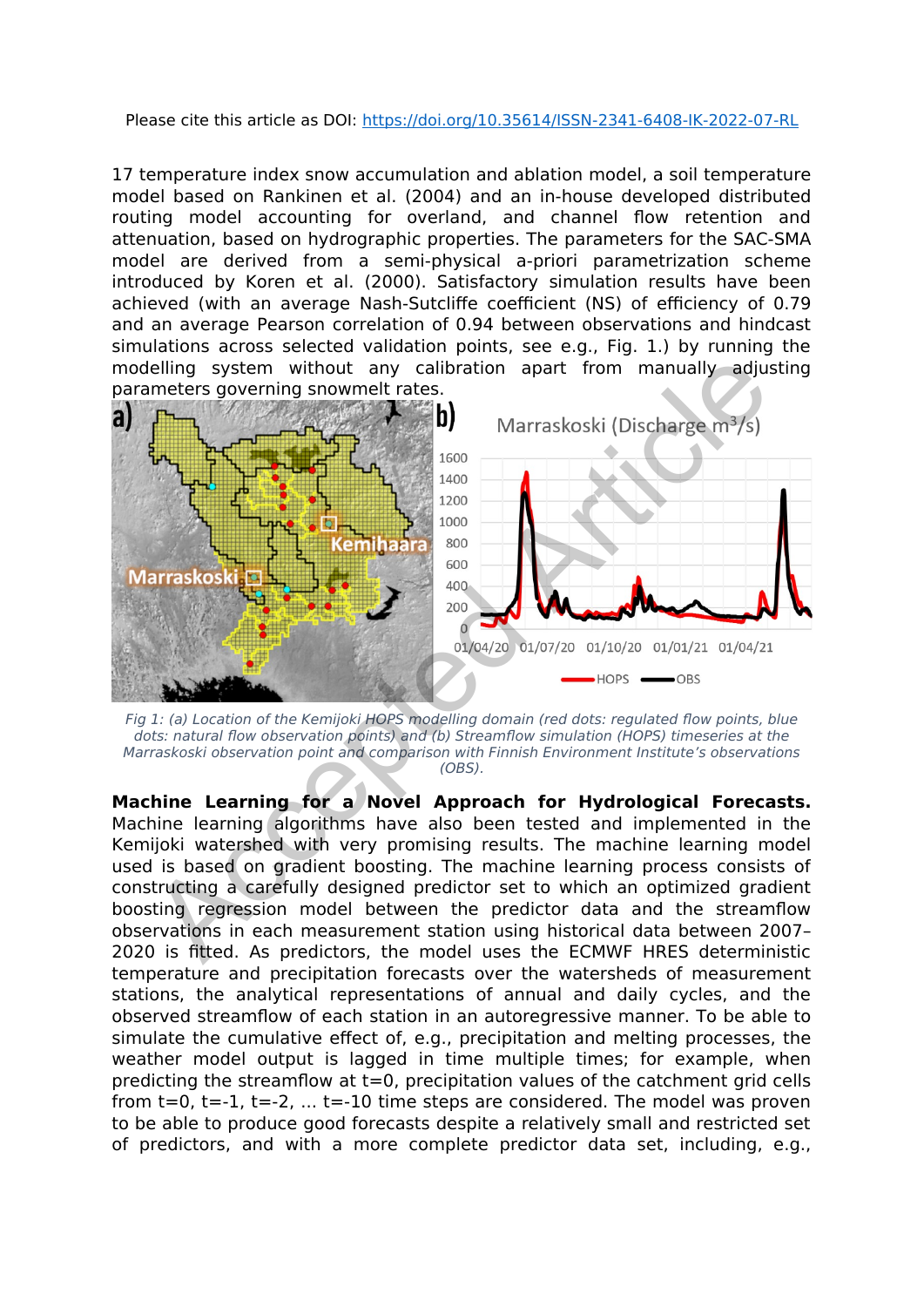#### Please cite this article as DOI: https://doi.org/10.35614/ISSN-2341-6408-IK-2022-07-RL

17 temperature index snow accumulation and ablation model, a soil temperature model based on Rankinen et al. (2004) and an in-house developed distributed routing model accounting for overland, and channel flow retention and attenuation, based on hydrographic properties. The parameters for the SAC-SMA model are derived from a semi-physical a-priori parametrization scheme introduced by Koren et al. (2000). Satisfactory simulation results have been achieved (with an average Nash-Sutcliffe coefficient (NS) of efficiency of 0.79 and an average Pearson correlation of 0.94 between observations and hindcast simulations across selected validation points, see e.g., Fig. 1.) by running the modelling system without any calibration apart from manually adjusting parameters governing snowmelt rates.



Fig 1: (a) Location of the Kemijoki HOPS modelling domain (red dots: regulated flow points, blue dots: natural flow observation points) and (b) Streamflow simulation (HOPS) timeseries at the Marraskoski observation point and comparison with Finnish Environment Institute's observations (OBS).

**Machine Learning for a Novel Approach for Hydrological Forecasts.** Machine learning algorithms have also been tested and implemented in the Kemijoki watershed with very promising results. The machine learning model used is based on gradient boosting. The machine learning process consists of constructing a carefully designed predictor set to which an optimized gradient boosting regression model between the predictor data and the streamflow observations in each measurement station using historical data between 2007– 2020 is fitted. As predictors, the model uses the ECMWF HRES deterministic temperature and precipitation forecasts over the watersheds of measurement stations, the analytical representations of annual and daily cycles, and the observed streamflow of each station in an autoregressive manner. To be able to simulate the cumulative effect of, e.g., precipitation and melting processes, the weather model output is lagged in time multiple times; for example, when predicting the streamflow at t=0, precipitation values of the catchment grid cells from  $t=0$ ,  $t=-1$ ,  $t=-2$ , ...  $t=-10$  time steps are considered. The model was proven to be able to produce good forecasts despite a relatively small and restricted set of predictors, and with a more complete predictor data set, including, e.g.,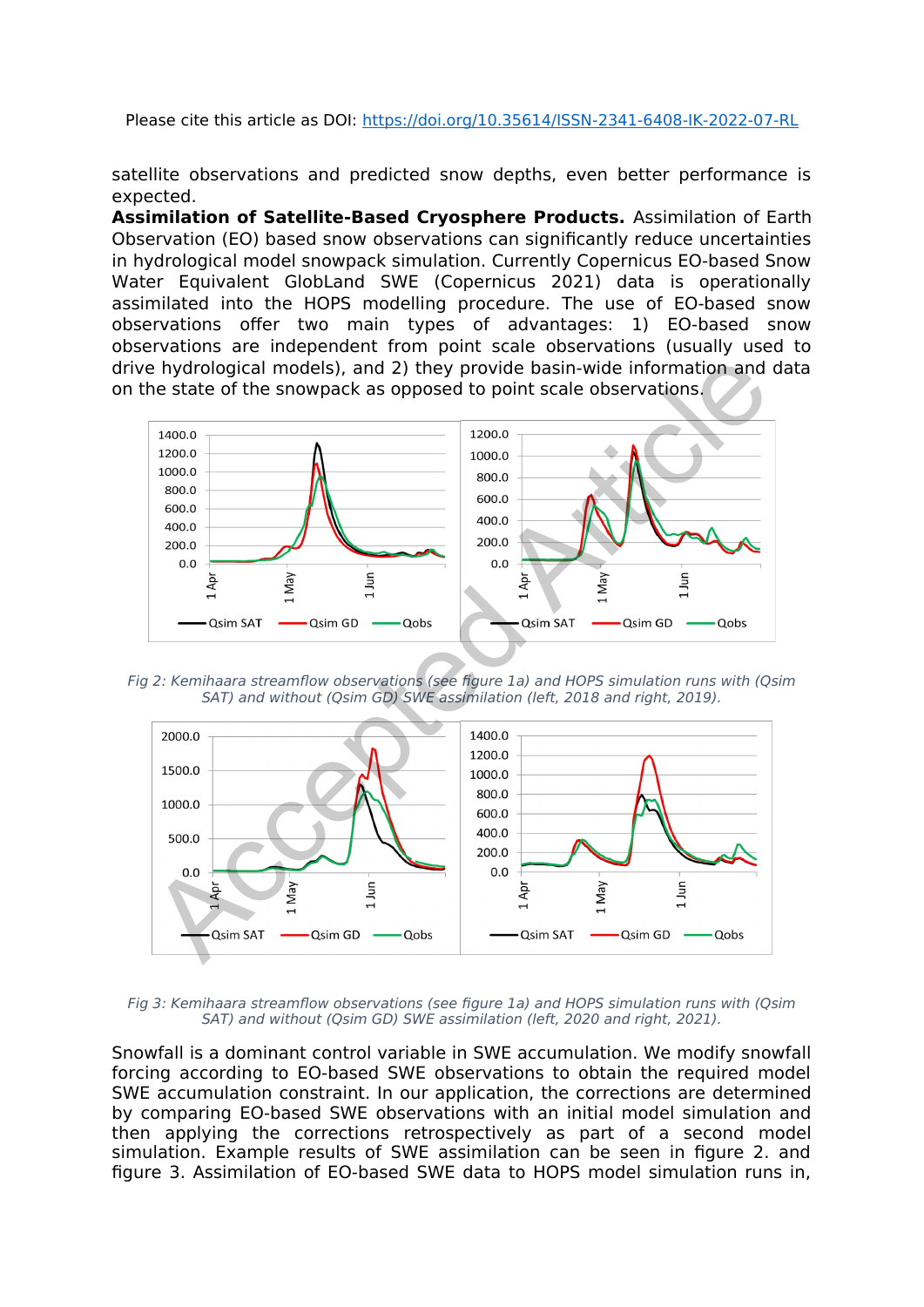Please cite this article as DOI: https://doi.org/10.35614/ISSN-2341-6408-IK-2022-07-RL

satellite observations and predicted snow depths, even better performance is expected.

**Assimilation of Satellite-Based Cryosphere Products.** Assimilation of Earth Observation (EO) based snow observations can significantly reduce uncertainties in hydrological model snowpack simulation. Currently Copernicus EO-based Snow Water Equivalent GlobLand SWE (Copernicus 2021) data is operationally assimilated into the HOPS modelling procedure. The use of EO-based snow observations offer two main types of advantages: 1) EO-based snow observations are independent from point scale observations (usually used to drive hydrological models), and 2) they provide basin-wide information and data on the state of the snowpack as opposed to point scale observations.



Fig 2: Kemihaara streamflow observations (see figure 1a) and HOPS simulation runs with (Qsim SAT) and without (Qsim GD) SWE assimilation (left, 2018 and right, 2019).



Fig 3: Kemihaara streamflow observations (see figure 1a) and HOPS simulation runs with (Qsim SAT) and without (Osim GD) SWE assimilation (left, 2020 and right, 2021).

Snowfall is a dominant control variable in SWE accumulation. We modify snowfall forcing according to EO-based SWE observations to obtain the required model SWE accumulation constraint. In our application, the corrections are determined by comparing EO-based SWE observations with an initial model simulation and then applying the corrections retrospectively as part of a second model simulation. Example results of SWE assimilation can be seen in figure 2. and figure 3. Assimilation of EO-based SWE data to HOPS model simulation runs in,